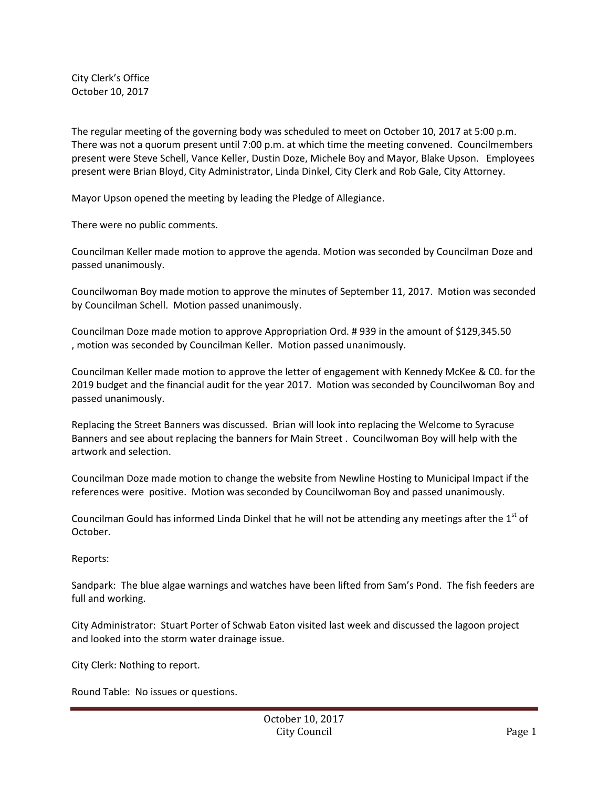City Clerk's Office October 10, 2017

The regular meeting of the governing body was scheduled to meet on October 10, 2017 at 5:00 p.m. There was not a quorum present until 7:00 p.m. at which time the meeting convened. Councilmembers present were Steve Schell, Vance Keller, Dustin Doze, Michele Boy and Mayor, Blake Upson. Employees present were Brian Bloyd, City Administrator, Linda Dinkel, City Clerk and Rob Gale, City Attorney.

Mayor Upson opened the meeting by leading the Pledge of Allegiance.

There were no public comments.

Councilman Keller made motion to approve the agenda. Motion was seconded by Councilman Doze and passed unanimously.

Councilwoman Boy made motion to approve the minutes of September 11, 2017. Motion was seconded by Councilman Schell. Motion passed unanimously.

Councilman Doze made motion to approve Appropriation Ord. # 939 in the amount of \$129,345.50 , motion was seconded by Councilman Keller. Motion passed unanimously.

Councilman Keller made motion to approve the letter of engagement with Kennedy McKee & C0. for the 2019 budget and the financial audit for the year 2017. Motion was seconded by Councilwoman Boy and passed unanimously.

Replacing the Street Banners was discussed. Brian will look into replacing the Welcome to Syracuse Banners and see about replacing the banners for Main Street . Councilwoman Boy will help with the artwork and selection.

Councilman Doze made motion to change the website from Newline Hosting to Municipal Impact if the references were positive. Motion was seconded by Councilwoman Boy and passed unanimously.

Councilman Gould has informed Linda Dinkel that he will not be attending any meetings after the  $1<sup>st</sup>$  of October.

Reports:

Sandpark: The blue algae warnings and watches have been lifted from Sam's Pond. The fish feeders are full and working.

City Administrator: Stuart Porter of Schwab Eaton visited last week and discussed the lagoon project and looked into the storm water drainage issue.

City Clerk: Nothing to report.

Round Table: No issues or questions.